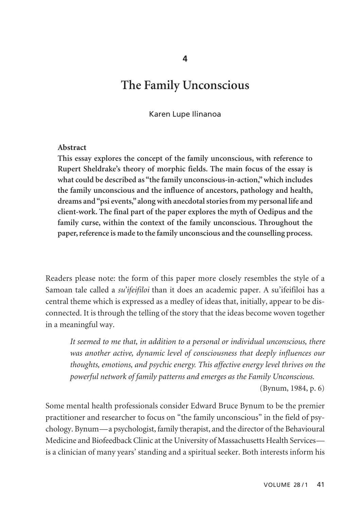# **The Family Unconscious**

Karen Lupe Ilinanoa

#### **Abstract**

**This essay explores the concept of the family unconscious, with reference to Rupert Sheldrake's theory of morphic fields. The main focus of the essay is what could be described as "the family unconscious-in-action," which includes the family unconscious and the influence of ancestors, pathology and health, dreams and "psi events," along with anecdotal stories from my personal life and client-work. The final part of the paper explores the myth of Oedipus and the family curse, within the context of the family unconscious. Throughout the paper, reference is made to the family unconscious and the counselling process.**

Readers please note: the form of this paper more closely resembles the style of a Samoan tale called a *su'ifeifiloi* than it does an academic paper. A su'ifeifiloi has a central theme which is expressed as a medley of ideas that, initially, appear to be disconnected. It is through the telling of the story that the ideas become woven together in a meaningful way.

*It seemed to me that, in addition to a personal or individual unconscious, there was another active, dynamic level of consciousness that deeply influences our thoughts, emotions, and psychic energy. This affective energy level thrives on the powerful network of family patterns and emerges as the Family Unconscious.* (Bynum, 1984, p. 6)

Some mental health professionals consider Edward Bruce Bynum to be the premier practitioner and researcher to focus on "the family unconscious" in the field of psychology. Bynum—a psychologist, family therapist, and the director of the Behavioural Medicine and Biofeedback Clinic at the University of Massachusetts Health Services is a clinician of many years' standing and a spiritual seeker. Both interests inform his

**4**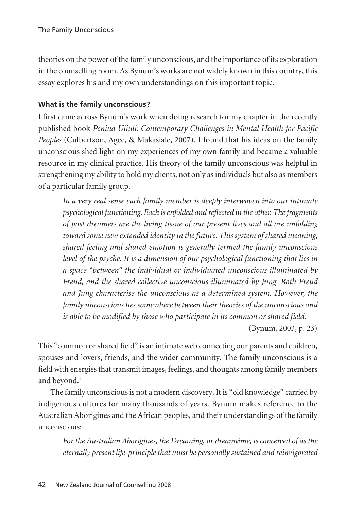theories on the power of the family unconscious, and the importance of its exploration in the counselling room. As Bynum's works are not widely known in this country, this essay explores his and my own understandings on this important topic.

## **What is the family unconscious?**

I first came across Bynum's work when doing research for my chapter in the recently published book *Penina Uliuli: Contemporary Challenges in Mental Health for Pacific Peoples* (Culbertson, Agee, & Makasiale, 2007). I found that his ideas on the family unconscious shed light on my experiences of my own family and became a valuable resource in my clinical practice. His theory of the family unconscious was helpful in strengthening my ability to hold my clients, not only as individuals but also as members of a particular family group.

*In a very real sense each family member is deeply interwoven into our intimate psychological functioning. Each is enfolded and reflected in the other. The fragments of past dreamers are the living tissue of our present lives and all are unfolding toward some new extended identity in the future. This system of shared meaning, shared feeling and shared emotion is generally termed the family unconscious level of the psyche. It is a dimension of our psychological functioning that lies in a space "between" the individual or individuated unconscious illuminated by Freud, and the shared collective unconscious illuminated by Jung. Both Freud and Jung characterise the unconscious as a determined system. However, the family unconscious lies somewhere between their theories of the unconscious and is able to be modified by those who participate in its common or shared field.*

(Bynum, 2003, p. 23)

This "common or shared field" is an intimate web connecting our parents and children, spouses and lovers, friends, and the wider community. The family unconscious is a field with energies that transmit images, feelings, and thoughts among family members and beyond.<sup>1</sup>

The family unconscious is not a modern discovery. It is "old knowledge" carried by indigenous cultures for many thousands of years. Bynum makes reference to the Australian Aborigines and the African peoples, and their understandings of the family unconscious:

*For the Australian Aborigines, the Dreaming, or dreamtime, is conceived of as the eternally present life-principle that must be personally sustained and reinvigorated*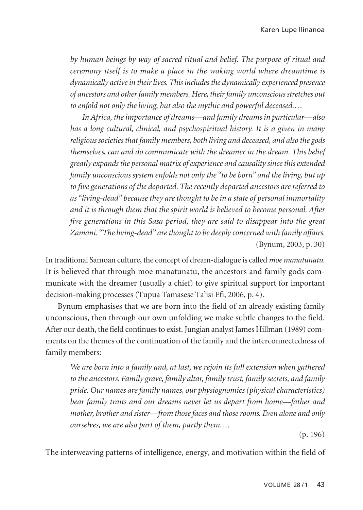*by human beings by way of sacred ritual and belief. The purpose of ritual and ceremony itself is to make a place in the waking world where dreamtime is dynamically active in their lives. This includes the dynamically experienced presence of ancestors and other family members. Here, their family unconscious stretches out to enfold not only the living, but also the mythic and powerful deceased.…*

*In Africa, the importance of dreams—and family dreams in particular—also has a long cultural, clinical, and psychospiritual history. It is a given in many religious societies that family members, both living and deceased, and also the gods themselves, can and do communicate with the dreamer in the dream. This belief greatly expands the personal matrix of experience and causality since this extended family unconscious system enfolds not only the "to be born" and the living, but up to five generations of the departed. The recently departed ancestors are referred to as "living-dead" because they are thought to be in a state of personal immortality and it is through them that the spirit world is believed to become personal. After five generations in this Sasa period, they are said to disappear into the great Zamani. "The living-dead" are thought to be deeply concerned with family affairs.* (Bynum, 2003, p. 30)

In traditional Samoan culture, the concept of dream-dialogue is called *moe manatunatu.* It is believed that through moe manatunatu, the ancestors and family gods com municate with the dreamer (usually a chief) to give spiritual support for important decision-making processes (Tupua Tamasese Ta'isi Efi, 2006, p. 4).

Bynum emphasises that we are born into the field of an already existing family unconscious, then through our own unfolding we make subtle changes to the field. After our death, the field continues to exist. Jungian analyst James Hillman (1989) comments on the themes of the continuation of the family and the interconnectedness of family members:

*We are born into a family and, at last, we rejoin its full extension when gathered to the ancestors. Family grave, family altar, family trust, family secrets, and family pride. Our names are family names, our physiognomies (physical characteristics) bear family traits and our dreams never let us depart from home—father and mother, brother and sister—from those faces and those rooms. Even alone and only ourselves, we are also part of them, partly them.…* 

(p. 196)

The interweaving patterns of intelligence, energy, and motivation within the field of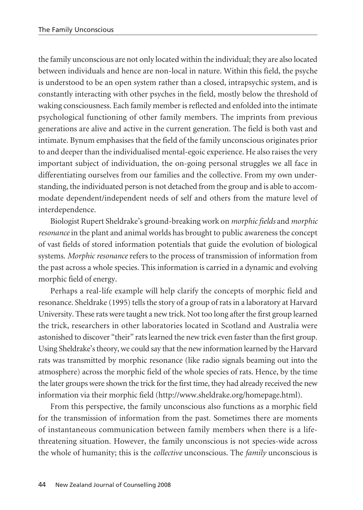the family unconscious are not only located within the individual; they are also located between individuals and hence are non-local in nature. Within this field, the psyche is understood to be an open system rather than a closed, intrapsychic system, and is constantly interacting with other psyches in the field, mostly below the threshold of waking consciousness. Each family member is reflected and enfolded into the intimate psychological functioning of other family members. The imprints from previous generations are alive and active in the current generation. The field is both vast and intimate. Bynum emphasises that the field of the family unconscious originates prior to and deeper than the individualised mental-egoic experience. He also raises the very important subject of individuation, the on-going personal struggles we all face in differentiating ourselves from our families and the collective. From my own understanding, the individuated person is not detached from the group and is able to accommodate dependent/independent needs of self and others from the mature level of interdependence.

Biologist Rupert Sheldrake's ground-breaking work on *morphic fields* and *morphic resonance* in the plant and animal worlds has brought to public awareness the concept of vast fields of stored information potentials that guide the evolution of biological systems. *Morphic resonance* refers to the process of transmission of information from the past across a whole species. This information is carried in a dynamic and evolving morphic field of energy.

Perhaps a real-life example will help clarify the concepts of morphic field and resonance. Sheldrake (1995) tells the story of a group of rats in a laboratory at Harvard University. These rats were taught a new trick. Not too long after the first group learned the trick, researchers in other laboratories located in Scotland and Australia were astonished to discover "their" rats learned the new trick even faster than the first group. Using Sheldrake's theory, we could say that the new information learned by the Harvard rats was transmitted by morphic resonance (like radio signals beaming out into the atmosphere) across the morphic field of the whole species of rats. Hence, by the time the later groups were shown the trick for the first time, they had already received the new information via their morphic field (http://www.sheldrake.org/homepage.html).

From this perspective, the family unconscious also functions as a morphic field for the transmission of information from the past. Sometimes there are moments of instantaneous communication between family members when there is a lifethreatening situation. However, the family unconscious is not species-wide across the whole of humanity; this is the *collective* unconscious. The *family* unconscious is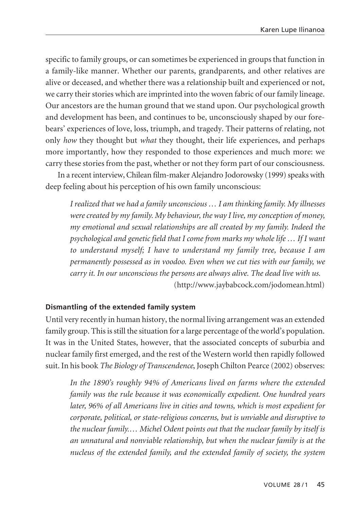specific to family groups, or can sometimes be experienced in groups that function in a family-like manner. Whether our parents, grandparents, and other relatives are alive or deceased, and whether there was a relationship built and experienced or not, we carry their stories which are imprinted into the woven fabric of our family lineage. Our ancestors are the human ground that we stand upon. Our psychological growth and development has been, and continues to be, unconsciously shaped by our forebears' experiences of love, loss, triumph, and tragedy. Their patterns of relating, not only *how* they thought but *what* they thought, their life experiences, and perhaps more importantly, how they responded to those experiences and much more: we carry these stories from the past, whether or not they form part of our consciousness.

In a recent interview, Chilean film-maker Alejandro Jodorowsky (1999) speaks with deep feeling about his perception of his own family unconscious:

*I realized that we had a family unconscious … I am thinking family. My illnesses were created by my family. My behaviour, the way I live, my conception of money, my emotional and sexual relationships are all created by my family. Indeed the psychological and genetic field that I come from marks my whole life … If I want to understand myself; I have to understand my family tree, because I am permanently possessed as in voodoo. Even when we cut ties with our family, we carry it. In our unconscious the persons are always alive. The dead live with us.* (http://www.jaybabcock.com/jodomean.html)

#### **Dismantling of the extended family system**

Until very recently in human history, the normal living arrangement was an extended family group. This is still the situation for a large percentage of the world's population. It was in the United States, however, that the associated concepts of suburbia and nuclear family first emerged, and the rest of the Western world then rapidly followed suit. In his book *The Biology of Transcendence*, Joseph Chilton Pearce (2002) observes:

*In the 1890's roughly 94% of Americans lived on farms where the extended family was the rule because it was economically expedient. One hundred years later, 96% of all Americans live in cities and towns, which is most expedient for corporate, political, or state-religious concerns, but is unviable and disruptive to the nuclear family.… Michel Odent points out that the nuclear family by itself is an unnatural and nonviable relationship, but when the nuclear family is at the nucleus of the extended family, and the extended family of society, the system*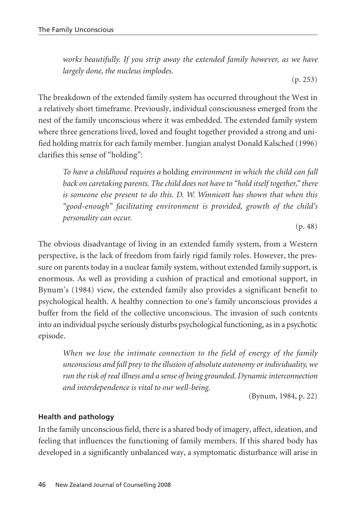*works beautifully. If you strip away the extended family however, as we have largely done, the nucleus implodes.* 

(p. 253)

The breakdown of the extended family system has occurred throughout the West in a relatively short timeframe. Previously, individual consciousness emerged from the nest of the family unconscious where it was embedded. The extended family system where three generations lived, loved and fought together provided a strong and unified holding matrix for each family member. Jungian analyst Donald Kalsched (1996) clarifies this sense of "holding":

*To have a childhood requires a* holding *environment in which the child can fall back on caretaking parents. The child does not have to "hold itself together," there is someone else present to do this. D. W. Winnicott has shown that when this "good-enough" facilitating environment is provided, growth of the child's personality can occur.*

(p. 48)

The obvious disadvantage of living in an extended family system, from a Western perspective, is the lack of freedom from fairly rigid family roles. However, the pressure on parents today in a nuclear family system, without extended family support, is enormous. As well as providing a cushion of practical and emotional support, in Bynum's (1984) view, the extended family also provides a significant benefit to psychological health. A healthy connection to one's family unconscious provides a buffer from the field of the collective unconscious. The invasion of such contents into an individual psyche seriously disturbs psychological functioning, as in a psychotic episode.

*When we lose the intimate connection to the field of energy of the family unconscious and fall prey to the illusion of absolute autonomy or individuality, we run the risk of real illness and a sense of being grounded. Dynamic interconnection and interdependence is vital to our well-being.*

(Bynum, 1984, p. 22)

# **Health and pathology**

In the family unconscious field, there is a shared body of imagery, affect, ideation, and feeling that influences the functioning of family members. If this shared body has developed in a significantly unbalanced way, a symptomatic disturbance will arise in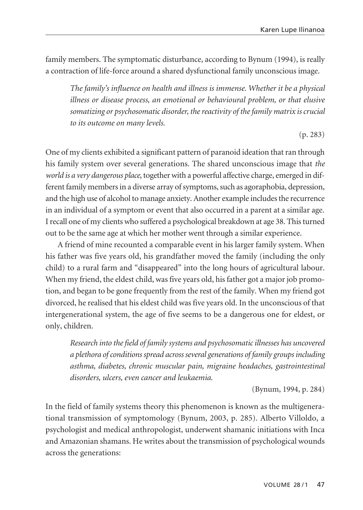family members. The symptomatic disturbance, according to Bynum (1994), is really a contraction of life-force around a shared dysfunctional family unconscious image.

*The family's influence on health and illness is immense. Whether it be a physical illness or disease process, an emotional or behavioural problem, or that elusive somatizing or psychosomatic disorder, the reactivity of the family matrix is crucial to its outcome on many levels.* 

(p. 283)

One of my clients exhibited a significant pattern of paranoid ideation that ran through his family system over several generations. The shared unconscious image that *the world is a very dangerous place*, together with a powerful affective charge, emerged in different family members in a diverse array of symptoms, such as agoraphobia, depression, and the high use of alcohol to manage anxiety. Another example includes the recurrence in an individual of a symptom or event that also occurred in a parent at a similar age. I recall one of my clients who suffered a psychological breakdown at age 38. This turned out to be the same age at which her mother went through a similar experience.

A friend of mine recounted a comparable event in his larger family system. When his father was five years old, his grandfather moved the family (including the only child) to a rural farm and "disappeared" into the long hours of agricultural labour. When my friend, the eldest child, was five years old, his father got a major job promotion, and began to be gone frequently from the rest of the family. When my friend got divorced, he realised that his eldest child was five years old. In the unconscious of that intergenerational system, the age of five seems to be a dangerous one for eldest, or only, children.

*Research into the field of family systems and psychosomatic illnesses has uncovered a plethora of conditions spread across several generations of family groups including asthma, diabetes, chronic muscular pain, migraine headaches, gastrointestinal disorders, ulcers, even cancer and leukaemia.*

(Bynum, 1994, p. 284)

In the field of family systems theory this phenomenon is known as the multigenerational transmission of symptomology (Bynum, 2003, p. 285). Alberto Villoldo, a psychologist and medical anthropologist, underwent shamanic initiations with Inca and Amazonian shamans. He writes about the transmission of psychological wounds across the generations: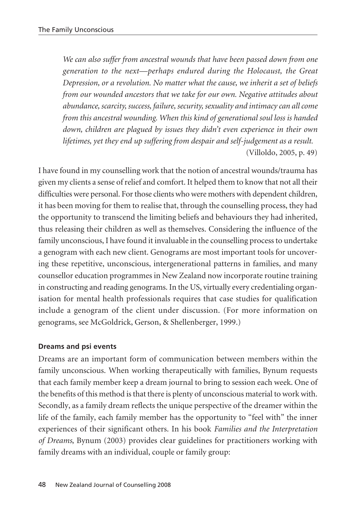*We can also suffer from ancestral wounds that have been passed down from one generation to the next—perhaps endured during the Holocaust, the Great Depression, or a revolution. No matter what the cause, we inherit a set of beliefs from our wounded ancestors that we take for our own. Negative attitudes about abundance, scarcity, success, failure, security, sexuality and intimacy can all come from this ancestral wounding. When this kind of generational soul loss is handed down, children are plagued by issues they didn't even experience in their own lifetimes, yet they end up suffering from despair and self-judgement as a result.* (Villoldo, 2005, p. 49)

I have found in my counselling work that the notion of ancestral wounds/trauma has given my clients a sense of relief and comfort. It helped them to know that not all their difficulties were personal. For those clients who were mothers with dependent children, it has been moving for them to realise that, through the counselling process, they had the opportunity to transcend the limiting beliefs and behaviours they had inherited, thus releasing their children as well as themselves. Considering the influence of the family unconscious, I have found it invaluable in the counselling process to undertake a genogram with each new client. Genograms are most important tools for uncovering these repetitive, unconscious, intergenerational patterns in families, and many counsellor education programmes in New Zealand now incorporate routine training in constructing and reading genograms. In the US, virtually every credentialing organisation for mental health professionals requires that case studies for qualification include a genogram of the client under discussion. (For more information on genograms, see McGoldrick, Gerson, & Shellenberger, 1999.)

### **Dreams and psi events**

Dreams are an important form of communication between members within the family unconscious. When working therapeutically with families, Bynum requests that each family member keep a dream journal to bring to session each week. One of the benefits of this method is that there is plenty of unconscious material to work with. Secondly, as a family dream reflects the unique perspective of the dreamer within the life of the family, each family member has the opportunity to "feel with" the inner experiences of their significant others. In his book *Families and the Interpretation of Dreams*, Bynum (2003) provides clear guidelines for practitioners working with family dreams with an individual, couple or family group: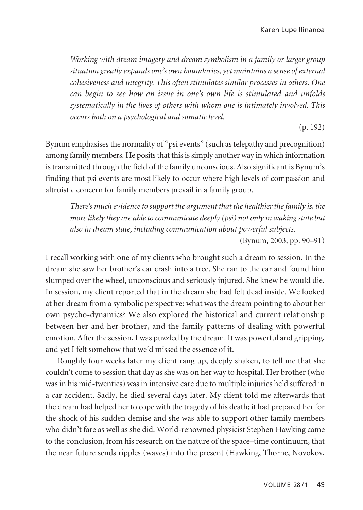*Working with dream imagery and dream symbolism in a family or larger group situation greatly expands one's own boundaries, yet maintains a sense of external cohesiveness and integrity. This often stimulates similar processes in others. One can begin to see how an issue in one's own life is stimulated and unfolds systematically in the lives of others with whom one is intimately involved. This occurs both on a psychological and somatic level.*

(p. 192)

Bynum emphasises the normality of "psi events" (such as telepathy and precognition) among family members. He posits that this is simply another way in which information is transmitted through the field of the family unconscious. Also significant is Bynum's finding that psi events are most likely to occur where high levels of compassion and altruistic concern for family members prevail in a family group.

*There's much evidence to support the argument that the healthier the family is, the more likely they are able to communicate deeply (psi) not only in waking state but also in dream state, including communication about powerful subjects.* 

(Bynum, 2003, pp. 90–91)

I recall working with one of my clients who brought such a dream to session. In the dream she saw her brother's car crash into a tree. She ran to the car and found him slumped over the wheel, unconscious and seriously injured. She knew he would die. In session, my client reported that in the dream she had felt dead inside. We looked at her dream from a symbolic perspective: what was the dream pointing to about her own psycho-dynamics? We also explored the historical and current relationship between her and her brother, and the family patterns of dealing with powerful emotion. After the session, I was puzzled by the dream. It was powerful and gripping, and yet I felt somehow that we'd missed the essence of it.

Roughly four weeks later my client rang up, deeply shaken, to tell me that she couldn't come to session that day as she was on her way to hospital. Her brother (who was in his mid-twenties) was in intensive care due to multiple injuries he'd suffered in a car accident. Sadly, he died several days later. My client told me afterwards that the dream had helped her to cope with the tragedy of his death; it had prepared her for the shock of his sudden demise and she was able to support other family members who didn't fare as well as she did. World-renowned physicist Stephen Hawking came to the conclusion, from his research on the nature of the space–time continuum, that the near future sends ripples (waves) into the present (Hawking, Thorne, Novokov,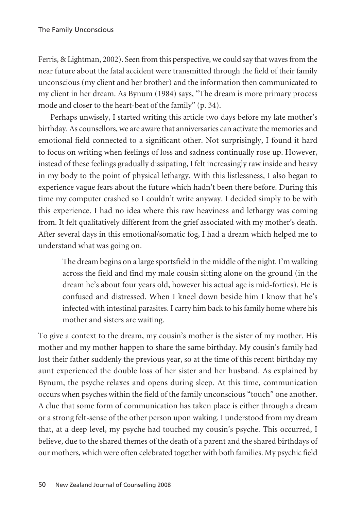Ferris, & Lightman, 2002). Seen from this perspective, we could say that waves from the near future about the fatal accident were transmitted through the field of their family unconscious (my client and her brother) and the information then communicated to my client in her dream. As Bynum (1984) says, "The dream is more primary process mode and closer to the heart-beat of the family" (p. 34).

Perhaps unwisely, I started writing this article two days before my late mother's birthday. As counsellors, we are aware that anniversaries can activate the memories and emotional field connected to a significant other. Not surprisingly, I found it hard to focus on writing when feelings of loss and sadness continually rose up. However, instead of these feelings gradually dissipating, I felt increasingly raw inside and heavy in my body to the point of physical lethargy. With this listlessness, I also began to experience vague fears about the future which hadn't been there before. During this time my computer crashed so I couldn't write anyway. I decided simply to be with this experience. I had no idea where this raw heaviness and lethargy was coming from. It felt qualitatively different from the grief associated with my mother's death. After several days in this emotional/somatic fog, I had a dream which helped me to understand what was going on.

The dream begins on a large sportsfield in the middle of the night. I'm walking across the field and find my male cousin sitting alone on the ground (in the dream he's about four years old, however his actual age is mid-forties). He is confused and distressed. When I kneel down beside him I know that he's infected with intestinal parasites. I carry him back to his family home where his mother and sisters are waiting.

To give a context to the dream, my cousin's mother is the sister of my mother. His mother and my mother happen to share the same birthday. My cousin's family had lost their father suddenly the previous year, so at the time of this recent birthday my aunt experienced the double loss of her sister and her husband. As explained by Bynum, the psyche relaxes and opens during sleep. At this time, communication occurs when psyches within the field of the family unconscious "touch" one another. A clue that some form of communication has taken place is either through a dream or a strong felt-sense of the other person upon waking. I understood from my dream that, at a deep level, my psyche had touched my cousin's psyche. This occurred, I believe, due to the shared themes of the death of a parent and the shared birthdays of our mothers, which were often celebrated together with both families. My psychic field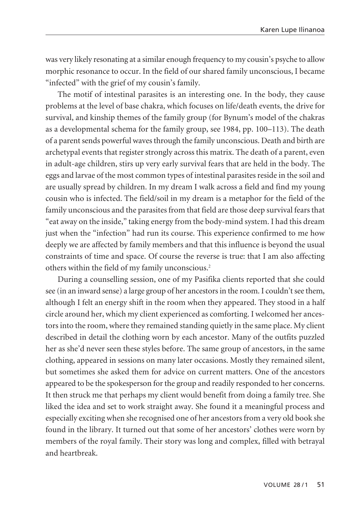was very likely resonating at a similar enough frequency to my cousin's psyche to allow morphic resonance to occur. In the field of our shared family unconscious, I became "infected" with the grief of my cousin's family.

The motif of intestinal parasites is an interesting one. In the body, they cause problems at the level of base chakra, which focuses on life/death events, the drive for survival, and kinship themes of the family group (for Bynum's model of the chakras as a developmental schema for the family group, see 1984, pp. 100–113). The death of a parent sends powerful waves through the family unconscious. Death and birth are archetypal events that register strongly across this matrix. The death of a parent, even in adult-age children, stirs up very early survival fears that are held in the body. The eggs and larvae of the most common types of intestinal parasites reside in the soil and are usually spread by children. In my dream I walk across a field and find my young cousin who is infected. The field/soil in my dream is a metaphor for the field of the family unconscious and the parasites from that field are those deep survival fears that "eat away on the inside," taking energy from the body-mind system. I had this dream just when the "infection" had run its course. This experience confirmed to me how deeply we are affected by family members and that this influence is beyond the usual constraints of time and space. Of course the reverse is true: that I am also affecting others within the field of my family unconscious.2

During a counselling session, one of my Pasifika clients reported that she could see (in an inward sense) a large group of her ancestors in the room. I couldn't see them, although I felt an energy shift in the room when they appeared. They stood in a half circle around her, which my client experienced as comforting. I welcomed her ancestors into the room, where they remained standing quietly in the same place. My client described in detail the clothing worn by each ancestor. Many of the outfits puzzled her as she'd never seen these styles before. The same group of ancestors, in the same clothing, appeared in sessions on many later occasions. Mostly they remained silent, but sometimes she asked them for advice on current matters. One of the ancestors appeared to be the spokesperson for the group and readily responded to her concerns. It then struck me that perhaps my client would benefit from doing a family tree. She liked the idea and set to work straight away. She found it a meaningful process and especially exciting when she recognised one of her ancestors from a very old book she found in the library. It turned out that some of her ancestors' clothes were worn by members of the royal family. Their story was long and complex, filled with betrayal and heartbreak.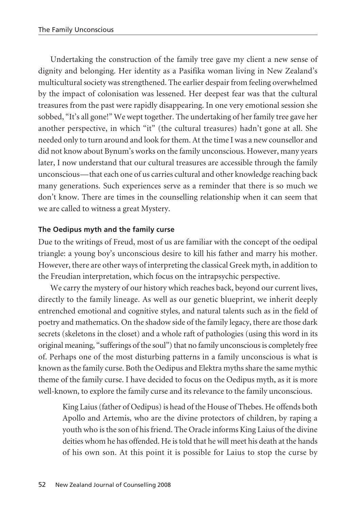Undertaking the construction of the family tree gave my client a new sense of dignity and belonging. Her identity as a Pasifika woman living in New Zealand's multicultural society was strengthened. The earlier despair from feeling overwhelmed by the impact of colonisation was lessened. Her deepest fear was that the cultural treasures from the past were rapidly disappearing. In one very emotional session she sobbed, "It's all gone!" We wept together. The undertaking of her family tree gave her another perspective, in which "it" (the cultural treasures) hadn't gone at all. She needed only to turn around and look for them. At the time I was a new counsellor and did not know about Bynum's works on the family unconscious. However, many years later, I now understand that our cultural treasures are accessible through the family unconscious—that each one of us carries cultural and other knowledge reaching back many generations. Such experiences serve as a reminder that there is so much we don't know. There are times in the counselling relationship when it can seem that we are called to witness a great Mystery.

# **The Oedipus myth and the family curse**

Due to the writings of Freud, most of us are familiar with the concept of the oedipal triangle: a young boy's unconscious desire to kill his father and marry his mother. However, there are other ways of interpreting the classical Greek myth, in addition to the Freudian interpretation, which focus on the intrapsychic perspective.

We carry the mystery of our history which reaches back, beyond our current lives, directly to the family lineage. As well as our genetic blueprint, we inherit deeply entrenched emotional and cognitive styles, and natural talents such as in the field of poetry and mathematics. On the shadow side of the family legacy, there are those dark secrets (skeletons in the closet) and a whole raft of pathologies (using this word in its original meaning, "sufferings of the soul") that no family unconscious is completely free of. Perhaps one of the most disturbing patterns in a family unconscious is what is known as the family curse. Both the Oedipus and Elektra myths share the same mythic theme of the family curse. I have decided to focus on the Oedipus myth, as it is more well-known, to explore the family curse and its relevance to the family unconscious.

King Laius (father of Oedipus) is head of the House of Thebes. He offends both Apollo and Artemis, who are the divine protectors of children, by raping a youth who is the son of his friend. The Oracle informs King Laius of the divine deities whom he has offended. He is told that he will meet his death at the hands of his own son. At this point it is possible for Laius to stop the curse by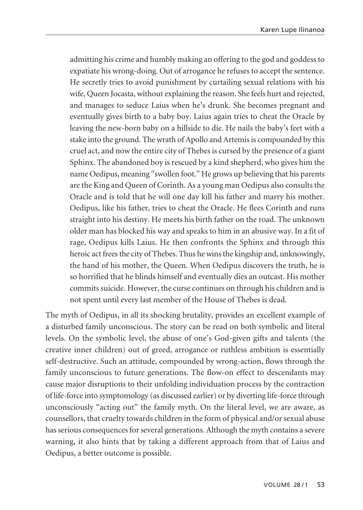admitting his crime and humbly making an offering to the god and goddess to expatiate his wrong-doing. Out of arrogance he refuses to accept the sentence. He secretly tries to avoid punishment by curtailing sexual relations with his wife, Queen Jocasta, without explaining the reason. She feels hurt and rejected, and manages to seduce Laius when he's drunk. She becomes pregnant and eventually gives birth to a baby boy. Laius again tries to cheat the Oracle by leaving the new-born baby on a hillside to die. He nails the baby's feet with a stake into the ground. The wrath of Apollo and Artemis is compounded by this cruel act, and now the entire city of Thebes is cursed by the presence of a giant Sphinx. The abandoned boy is rescued by a kind shepherd, who gives him the name Oedipus, meaning "swollen foot." He grows up believing that his parents are the King and Queen of Corinth. As a young man Oedipus also consults the Oracle and is told that he will one day kill his father and marry his mother. Oedipus, like his father, tries to cheat the Oracle. He flees Corinth and runs straight into his destiny. He meets his birth father on the road. The unknown older man has blocked his way and speaks to him in an abusive way. In a fit of rage, Oedipus kills Laius. He then confronts the Sphinx and through this heroic act frees the city of Thebes. Thus he wins the kingship and, unknowingly, the hand of his mother, the Queen. When Oedipus discovers the truth, he is so horrified that he blinds himself and eventually dies an outcast. His mother commits suicide. However, the curse continues on through his children and is not spent until every last member of the House of Thebes is dead.

The myth of Oedipus, in all its shocking brutality, provides an excellent example of a disturbed family unconscious. The story can be read on both symbolic and literal levels. On the symbolic level, the abuse of one's God-given gifts and talents (the creative inner children) out of greed, arrogance or ruthless ambition is essentially self-destructive. Such an attitude, compounded by wrong-action, flows through the family unconscious to future generations. The flow-on effect to descendants may cause major disruptions to their unfolding individuation process by the contraction of life-force into symptomology (as discussed earlier) or by diverting life-force through unconsciously "acting out" the family myth. On the literal level, we are aware, as counsellors, that cruelty towards children in the form of physical and/or sexual abuse has serious consequences for several generations. Although the myth contains a severe warning, it also hints that by taking a different approach from that of Laius and Oedipus, a better outcome is possible.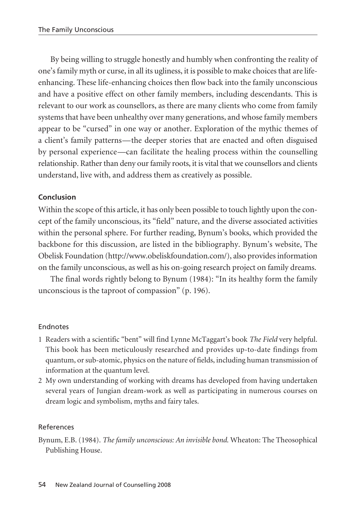By being willing to struggle honestly and humbly when confronting the reality of one's family myth or curse, in all its ugliness, it is possible to make choices that are lifeenhancing. These life-enhancing choices then flow back into the family unconscious and have a positive effect on other family members, including descendants. This is relevant to our work as counsellors, as there are many clients who come from family systems that have been unhealthy over many generations, and whose family members appear to be "cursed" in one way or another. Exploration of the mythic themes of a client's family patterns—the deeper stories that are enacted and often disguised by personal experience—can facilitate the healing process within the counselling relationship. Rather than deny our family roots, it is vital that we counsellors and clients understand, live with, and address them as creatively as possible.

# **Conclusion**

Within the scope of this article, it has only been possible to touch lightly upon the concept of the family unconscious, its "field" nature, and the diverse associated activities within the personal sphere. For further reading, Bynum's books, which provided the backbone for this discussion, are listed in the bibliography. Bynum's website, The Obelisk Foundation (http://www.obeliskfoundation.com/), also provides information on the family unconscious, as well as his on-going research project on family dreams.

The final words rightly belong to Bynum (1984): "In its healthy form the family unconscious is the taproot of compassion" (p. 196).

### Endnotes

- 1 Readers with a scientific "bent" will find Lynne McTaggart's book *The Field* very helpful. This book has been meticulously researched and provides up-to-date findings from quantum, or sub-atomic, physics on the nature of fields, including human transmission of information at the quantum level.
- 2 My own understanding of working with dreams has developed from having undertaken several years of Jungian dream-work as well as participating in numerous courses on dream logic and symbolism, myths and fairy tales.

### References

Bynum, E.B. (1984). *The family unconscious: An invisible bond*. Wheaton: The Theosophical Publishing House.